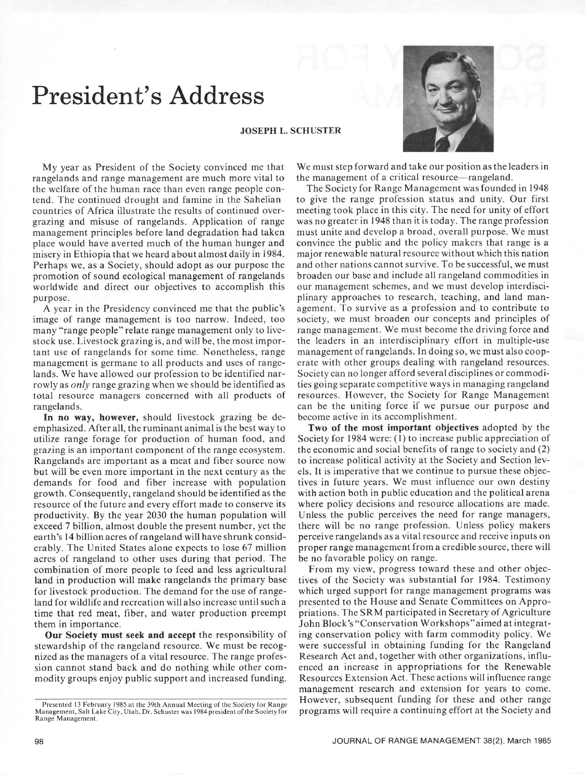## President's Address

## JOSEPH L. SCHUSTER



My year as President of the Society convinced me that rangelands and range management are much more vital to the welfare of the human race than even range people contend. The continued drought and famine in the Sahelian countries of Africa illustrate the results of continued overgrazing and misuse of rangelands. Application of range management principles before land degradation had taken place would have averted much of the human hunger and misery in Ethiopiathat we heard about almost daily in 1984. Perhaps we, as a Society, should adopt as our purpose the promotion of sound ecological management of rangelands worldwide and direct our objectives to accomplish this purpose.

A year in the Presidency convinced me that the public's image of range management is too narrow. Indeed, too many "range people" relate range management only to livestock use. Livestock grazing is, and will be, the most important use of rangelands for some time. Nonetheless, range management is germane to all products and uses of rangelands. We have allowed our profession to be identified narrowly as only range grazing when we should be identified as total resource managers concerned with all products of rangelands.

In no way, **however,** should livestock grazing be deemphasized. After all, the ruminant animal is the best way to utilize range forage for production of human food, and grazing is an important component of the range ecosystem. Rangelands are important as a meat and fiber source now but will be even more important in the next century as the demands for food and fiber increase with population growth. Consequently, rangeland should be identified as the resource of the future and every effort made to conserve its productivity. By the year 2030 the human population will exceed 7 billion, almost double the present number, yet the earth's 14 billion acres of rangeland will have shrunk considerably. The United States alone expects to lose 67 million acres of rangeland to other uses during that period. The combination of more people to feed and less agricultural land in production will make rangelands the primary base for livestock production. The demand for the use of rangeland for wildlife and recreation will also increase until such a time that red meat, fiber, and water production preempt them in importance.

Our Society must **seek and accept** the responsibility of stewardship of the rangeland resource. We must be recognized as the managers of a vital resource. The range profession cannot stand back and do nothing while other commodity groups enjoy public support and increased funding.

We must step forward and take our position as the leaders in the management of a critical resource—rangeland.

The Society **for** Range Management was founded in 1948 to give the range profession status and unity. Our first meeting took place in this city. The need for unity of effort was no greater in 1948 than it is today. The range profession must unite and develop a broad, overall purpose. We must convince the public and the policy makers that range is a major renewable natural resource without which this nation and other nations cannot survive. To be successful, we must broaden our base and include all rangeland commodities in our management schemes, and we must develop interdisciplinary approaches to research, teaching, and land management. To survive as a profession and to contribute to society, we must broaden our concepts and principles of range management. We must become the driving force and the leaders in an interdisciplinary effort in multiple-use management of rangelands. In doing so, we must also cooperate with other groups dealing with rangeland resources. Society can no longer afford several disciplines or commodities going separate competitive ways in managing rangeland resources. However, the Society for Range Management can be the uniting force if we pursue our purpose and become active in its accomplishment.

Two of **the most important objectives** adopted by the Society for 1984 were: (I) to increase public appreciation of the economic and social benefits of range to society and (2) to increase political activity at the Society and Section levels. It is imperative that we continue to pursue these objectives in future years. We must influence our own destiny with action both in public education and the political arena where policy decisions and resource allocations are made. Unless the public perceives the need for range managers, there will be no range profession. Unless policy makers perceive rangelands as a vital resource and receive inputs on proper range management from a credible source, there will be no favorable policy on range.

From my view, progress toward these and other objectives of the Society was substantial for 1984. Testimony which urged support for range management programs was presented to the House and Senate Committees on Appropriations. The SRM participated in Secretary of Agriculture John Block's "Conservation Workshops"aimed at integrating conservation policy with farm commodity policy. We were successful in obtaining funding for the Rangeland Research Act and, together with other organizations, influenced an increase in appropriations for the Renewable Resources Extension Act. These actions will influence range management research and extension for years to come. However, subsequent funding for these and other range programs will require a continuing effort at the Society and

Presented 13 February 1985 at the 39th Annual Meeting of the Society for Range Management, Salt Lake City, Utah. Dr. Schuster was 1984 president of the Society for Range Management.